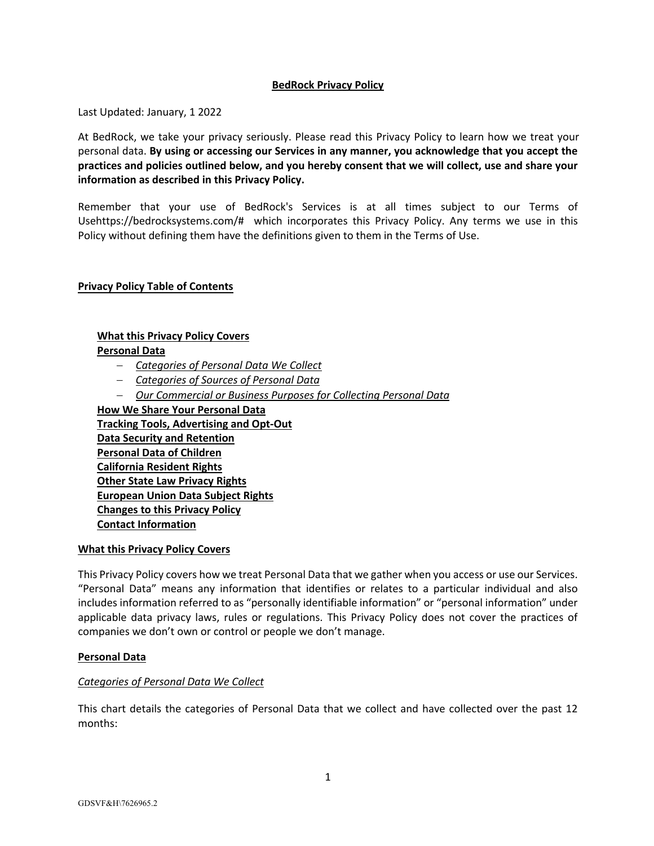## **BedRock Privacy Policy**

Last Updated: January, 1 2022

At BedRock, we take your privacy seriously. Please read this Privacy Policy to learn how we treat your personal data. **By using or accessing our Services in any manner, you acknowledge that you accept the practices and policies outlined below, and you hereby consent that we will collect, use and share your information as described in this Privacy Policy.**

Remember that your use of BedRock's Services is at all times subject to our Terms of Usehttps://bedrocksystems.com/# which incorporates this Privacy Policy. Any terms we use in this Policy without defining them have the definitions given to them in the Terms of Use.

#### **Privacy Policy Table of Contents**

#### **What this Privacy Policy Covers**

#### **Personal Data**

- *Categories of Personal Data We Collect*
- *Categories of Sources of Personal Data*
- *Our Commercial or Business Purposes for Collecting Personal Data*

**How We Share Your Personal Data Tracking Tools, Advertising and Opt-Out Data Security and Retention Personal Data of Children California Resident Rights Other State Law Privacy Rights European Union Data Subject Rights Changes to this Privacy Policy Contact Information**

#### **What this Privacy Policy Covers**

This Privacy Policy covers how we treat Personal Data that we gather when you access or use our Services. "Personal Data" means any information that identifies or relates to a particular individual and also includes information referred to as "personally identifiable information" or "personal information" under applicable data privacy laws, rules or regulations. This Privacy Policy does not cover the practices of companies we don't own or control or people we don't manage.

#### **Personal Data**

#### *Categories of Personal Data We Collect*

This chart details the categories of Personal Data that we collect and have collected over the past 12 months: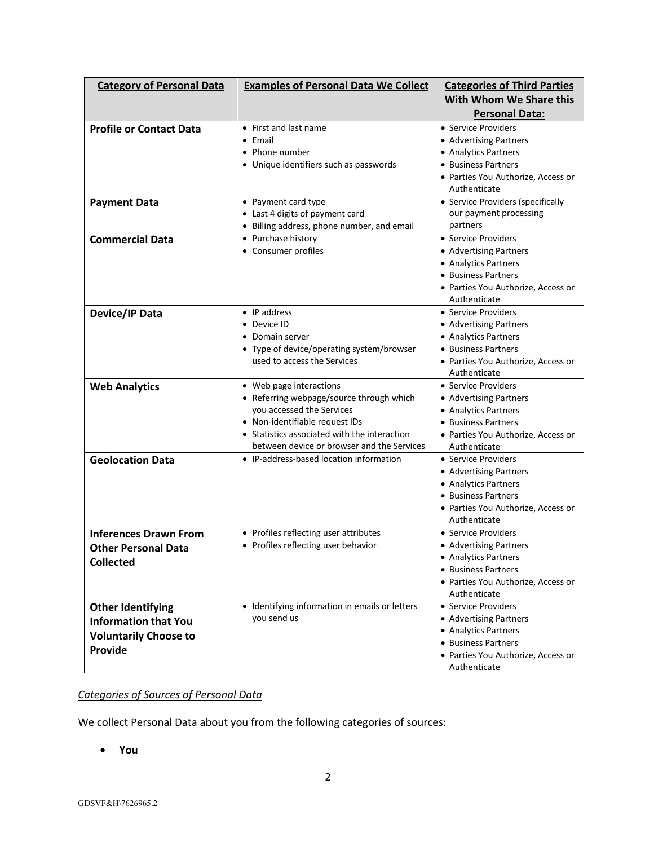| <b>Category of Personal Data</b>                                                                   | <b>Examples of Personal Data We Collect</b>                                                                                                                                                                                      | <b>Categories of Third Parties</b>                                                                                                                 |
|----------------------------------------------------------------------------------------------------|----------------------------------------------------------------------------------------------------------------------------------------------------------------------------------------------------------------------------------|----------------------------------------------------------------------------------------------------------------------------------------------------|
|                                                                                                    |                                                                                                                                                                                                                                  | With Whom We Share this                                                                                                                            |
|                                                                                                    |                                                                                                                                                                                                                                  | <b>Personal Data:</b>                                                                                                                              |
| <b>Profile or Contact Data</b>                                                                     | • First and last name<br>• Email<br>• Phone number<br>• Unique identifiers such as passwords                                                                                                                                     | • Service Providers<br>• Advertising Partners<br>• Analytics Partners<br>• Business Partners<br>• Parties You Authorize, Access or<br>Authenticate |
| <b>Payment Data</b>                                                                                | • Payment card type<br>• Last 4 digits of payment card<br>• Billing address, phone number, and email                                                                                                                             | • Service Providers (specifically<br>our payment processing<br>partners                                                                            |
| <b>Commercial Data</b>                                                                             | • Purchase history<br>• Consumer profiles                                                                                                                                                                                        | • Service Providers<br>• Advertising Partners<br>• Analytics Partners<br>• Business Partners<br>• Parties You Authorize, Access or<br>Authenticate |
| Device/IP Data                                                                                     | $\bullet$ IP address<br>• Device ID<br>• Domain server<br>• Type of device/operating system/browser<br>used to access the Services                                                                                               | • Service Providers<br>• Advertising Partners<br>• Analytics Partners<br>• Business Partners<br>• Parties You Authorize, Access or<br>Authenticate |
| <b>Web Analytics</b>                                                                               | • Web page interactions<br>• Referring webpage/source through which<br>you accessed the Services<br>• Non-identifiable request IDs<br>• Statistics associated with the interaction<br>between device or browser and the Services | • Service Providers<br>• Advertising Partners<br>• Analytics Partners<br>• Business Partners<br>• Parties You Authorize, Access or<br>Authenticate |
| <b>Geolocation Data</b>                                                                            | • IP-address-based location information                                                                                                                                                                                          | • Service Providers<br>• Advertising Partners<br>• Analytics Partners<br>• Business Partners<br>• Parties You Authorize, Access or<br>Authenticate |
| <b>Inferences Drawn From</b><br><b>Other Personal Data</b><br><b>Collected</b>                     | • Profiles reflecting user attributes<br>• Profiles reflecting user behavior                                                                                                                                                     | • Service Providers<br>• Advertising Partners<br>• Analytics Partners<br>• Business Partners<br>• Parties You Authorize, Access or<br>Authenticate |
| <b>Other Identifying</b><br><b>Information that You</b><br><b>Voluntarily Choose to</b><br>Provide | • Identifying information in emails or letters<br>you send us                                                                                                                                                                    | • Service Providers<br>• Advertising Partners<br>• Analytics Partners<br>• Business Partners<br>• Parties You Authorize, Access or<br>Authenticate |

# *Categories of Sources of Personal Data*

We collect Personal Data about you from the following categories of sources:

• **You**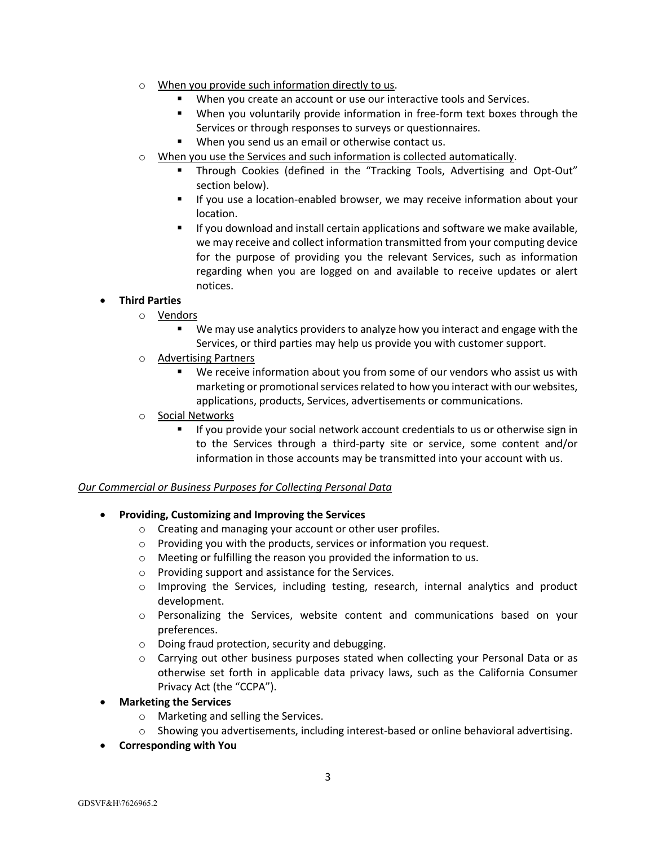- o When you provide such information directly to us.
	- When you create an account or use our interactive tools and Services.
	- § When you voluntarily provide information in free-form text boxes through the Services or through responses to surveys or questionnaires.
	- When you send us an email or otherwise contact us.
- $\circ$  When you use the Services and such information is collected automatically.
	- § Through Cookies (defined in the "Tracking Tools, Advertising and Opt-Out" section below).
	- § If you use a location-enabled browser, we may receive information about your location.
	- If you download and install certain applications and software we make available, we may receive and collect information transmitted from your computing device for the purpose of providing you the relevant Services, such as information regarding when you are logged on and available to receive updates or alert notices.

# • **Third Parties**

- o Vendors
	- We may use analytics providers to analyze how you interact and engage with the Services, or third parties may help us provide you with customer support.
- o Advertising Partners
	- We receive information about you from some of our vendors who assist us with marketing or promotional services related to how you interact with our websites, applications, products, Services, advertisements or communications.
- o Social Networks
	- If you provide your social network account credentials to us or otherwise sign in to the Services through a third-party site or service, some content and/or information in those accounts may be transmitted into your account with us.

## *Our Commercial or Business Purposes for Collecting Personal Data*

- **Providing, Customizing and Improving the Services**
	- o Creating and managing your account or other user profiles.
	- $\circ$  Providing you with the products, services or information you request.
	- o Meeting or fulfilling the reason you provided the information to us.
	- o Providing support and assistance for the Services.
	- o Improving the Services, including testing, research, internal analytics and product development.
	- o Personalizing the Services, website content and communications based on your preferences.
	- o Doing fraud protection, security and debugging.
	- o Carrying out other business purposes stated when collecting your Personal Data or as otherwise set forth in applicable data privacy laws, such as the California Consumer Privacy Act (the "CCPA").
- **Marketing the Services**
	- o Marketing and selling the Services.
	- o Showing you advertisements, including interest-based or online behavioral advertising.
- **Corresponding with You**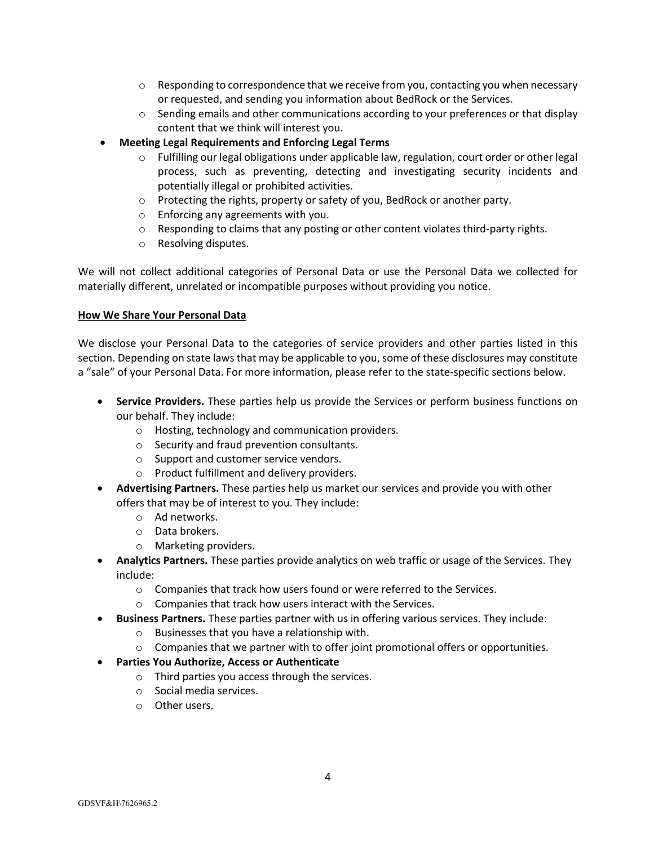- $\circ$  Responding to correspondence that we receive from you, contacting you when necessary or requested, and sending you information about BedRock or the Services.
- $\circ$  Sending emails and other communications according to your preferences or that display content that we think will interest you.
- **Meeting Legal Requirements and Enforcing Legal Terms**
	- $\circ$  Fulfilling our legal obligations under applicable law, regulation, court order or other legal process, such as preventing, detecting and investigating security incidents and potentially illegal or prohibited activities.
	- $\circ$  Protecting the rights, property or safety of you, BedRock or another party.
	- o Enforcing any agreements with you.
	- $\circ$  Responding to claims that any posting or other content violates third-party rights.
	- o Resolving disputes.

We will not collect additional categories of Personal Data or use the Personal Data we collected for materially different, unrelated or incompatible purposes without providing you notice.

#### **How We Share Your Personal Data**

We disclose your Personal Data to the categories of service providers and other parties listed in this section. Depending on state laws that may be applicable to you, some of these disclosures may constitute a "sale" of your Personal Data. For more information, please refer to the state-specific sections below.

- **Service Providers.** These parties help us provide the Services or perform business functions on our behalf. They include:
	- o Hosting, technology and communication providers.
	- o Security and fraud prevention consultants.
	- o Support and customer service vendors.
	- o Product fulfillment and delivery providers.
- **Advertising Partners.** These parties help us market our services and provide you with other offers that may be of interest to you. They include:
	- o Ad networks.
	- o Data brokers.
	- o Marketing providers.
- **Analytics Partners.** These parties provide analytics on web traffic or usage of the Services. They include:
	- o Companies that track how users found or were referred to the Services.
	- o Companies that track how users interact with the Services.
- **Business Partners.** These parties partner with us in offering various services. They include:
	- o Businesses that you have a relationship with.
	- $\circ$  Companies that we partner with to offer joint promotional offers or opportunities.
- **Parties You Authorize, Access or Authenticate**
	- o Third parties you access through the services.
	- o Social media services.
	- o Other users.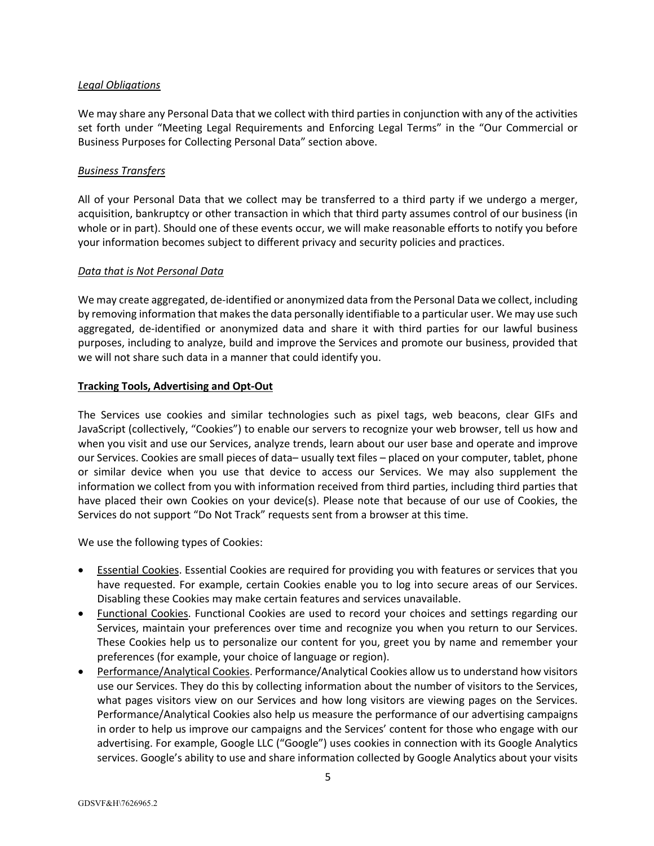## *Legal Obligations*

We may share any Personal Data that we collect with third parties in conjunction with any of the activities set forth under "Meeting Legal Requirements and Enforcing Legal Terms" in the "Our Commercial or Business Purposes for Collecting Personal Data" section above.

# *Business Transfers*

All of your Personal Data that we collect may be transferred to a third party if we undergo a merger, acquisition, bankruptcy or other transaction in which that third party assumes control of our business (in whole or in part). Should one of these events occur, we will make reasonable efforts to notify you before your information becomes subject to different privacy and security policies and practices.

## *Data that is Not Personal Data*

We may create aggregated, de-identified or anonymized data from the Personal Data we collect, including by removing information that makes the data personally identifiable to a particular user. We may use such aggregated, de-identified or anonymized data and share it with third parties for our lawful business purposes, including to analyze, build and improve the Services and promote our business, provided that we will not share such data in a manner that could identify you.

# **Tracking Tools, Advertising and Opt-Out**

The Services use cookies and similar technologies such as pixel tags, web beacons, clear GIFs and JavaScript (collectively, "Cookies") to enable our servers to recognize your web browser, tell us how and when you visit and use our Services, analyze trends, learn about our user base and operate and improve our Services. Cookies are small pieces of data– usually text files – placed on your computer, tablet, phone or similar device when you use that device to access our Services. We may also supplement the information we collect from you with information received from third parties, including third parties that have placed their own Cookies on your device(s). Please note that because of our use of Cookies, the Services do not support "Do Not Track" requests sent from a browser at this time.

We use the following types of Cookies:

- Essential Cookies. Essential Cookies are required for providing you with features or services that you have requested. For example, certain Cookies enable you to log into secure areas of our Services. Disabling these Cookies may make certain features and services unavailable.
- Functional Cookies. Functional Cookies are used to record your choices and settings regarding our Services, maintain your preferences over time and recognize you when you return to our Services. These Cookies help us to personalize our content for you, greet you by name and remember your preferences (for example, your choice of language or region).
- Performance/Analytical Cookies. Performance/Analytical Cookies allow us to understand how visitors use our Services. They do this by collecting information about the number of visitors to the Services, what pages visitors view on our Services and how long visitors are viewing pages on the Services. Performance/Analytical Cookies also help us measure the performance of our advertising campaigns in order to help us improve our campaigns and the Services' content for those who engage with our advertising. For example, Google LLC ("Google") uses cookies in connection with its Google Analytics services. Google's ability to use and share information collected by Google Analytics about your visits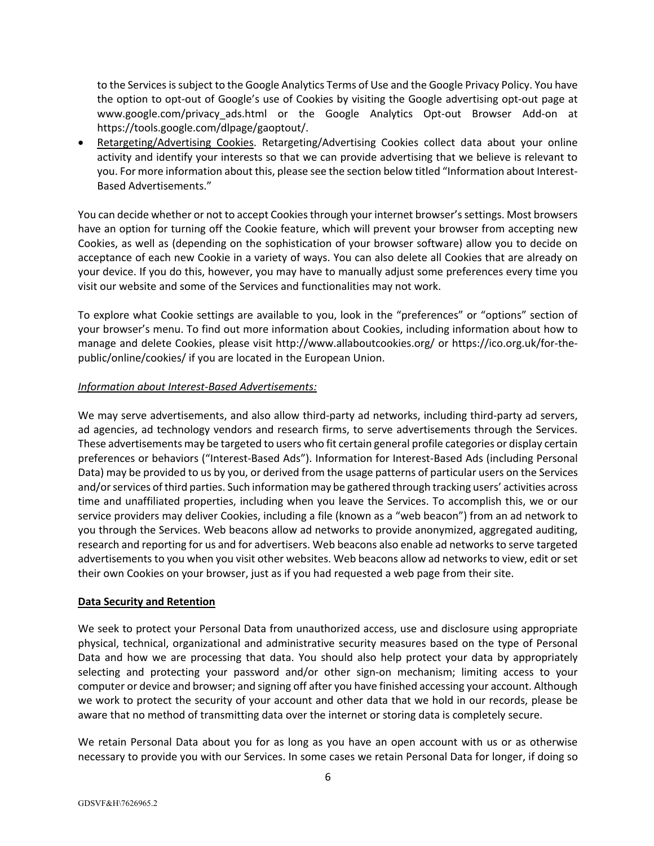to the Services is subject to the Google Analytics Terms of Use and the Google Privacy Policy. You have the option to opt-out of Google's use of Cookies by visiting the Google advertising opt-out page at www.google.com/privacy ads.html or the Google Analytics Opt-out Browser Add-on at https://tools.google.com/dlpage/gaoptout/.

• Retargeting/Advertising Cookies. Retargeting/Advertising Cookies collect data about your online activity and identify your interests so that we can provide advertising that we believe is relevant to you. For more information about this, please see the section below titled "Information about Interest-Based Advertisements."

You can decide whether or not to accept Cookies through your internet browser's settings. Most browsers have an option for turning off the Cookie feature, which will prevent your browser from accepting new Cookies, as well as (depending on the sophistication of your browser software) allow you to decide on acceptance of each new Cookie in a variety of ways. You can also delete all Cookies that are already on your device. If you do this, however, you may have to manually adjust some preferences every time you visit our website and some of the Services and functionalities may not work.

To explore what Cookie settings are available to you, look in the "preferences" or "options" section of your browser's menu. To find out more information about Cookies, including information about how to manage and delete Cookies, please visit http://www.allaboutcookies.org/ or https://ico.org.uk/for-thepublic/online/cookies/ if you are located in the European Union.

## *Information about Interest-Based Advertisements:*

We may serve advertisements, and also allow third-party ad networks, including third-party ad servers, ad agencies, ad technology vendors and research firms, to serve advertisements through the Services. These advertisements may be targeted to users who fit certain general profile categories or display certain preferences or behaviors ("Interest-Based Ads"). Information for Interest-Based Ads (including Personal Data) may be provided to us by you, or derived from the usage patterns of particular users on the Services and/or services of third parties. Such information may be gathered through tracking users' activities across time and unaffiliated properties, including when you leave the Services. To accomplish this, we or our service providers may deliver Cookies, including a file (known as a "web beacon") from an ad network to you through the Services. Web beacons allow ad networks to provide anonymized, aggregated auditing, research and reporting for us and for advertisers. Web beacons also enable ad networks to serve targeted advertisements to you when you visit other websites. Web beacons allow ad networks to view, edit or set their own Cookies on your browser, just as if you had requested a web page from their site.

## **Data Security and Retention**

We seek to protect your Personal Data from unauthorized access, use and disclosure using appropriate physical, technical, organizational and administrative security measures based on the type of Personal Data and how we are processing that data. You should also help protect your data by appropriately selecting and protecting your password and/or other sign-on mechanism; limiting access to your computer or device and browser; and signing off after you have finished accessing your account. Although we work to protect the security of your account and other data that we hold in our records, please be aware that no method of transmitting data over the internet or storing data is completely secure.

We retain Personal Data about you for as long as you have an open account with us or as otherwise necessary to provide you with our Services. In some cases we retain Personal Data for longer, if doing so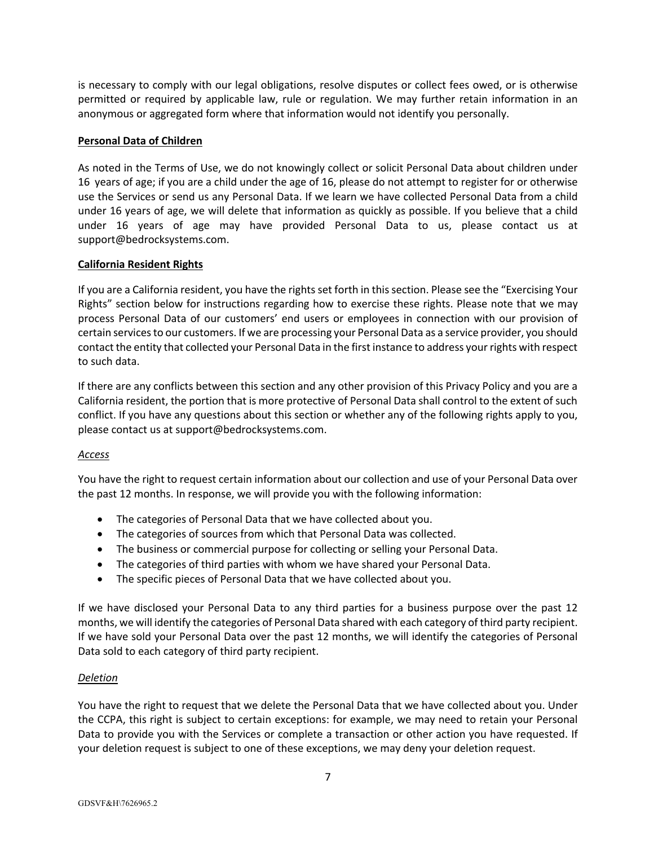is necessary to comply with our legal obligations, resolve disputes or collect fees owed, or is otherwise permitted or required by applicable law, rule or regulation. We may further retain information in an anonymous or aggregated form where that information would not identify you personally.

#### **Personal Data of Children**

As noted in the Terms of Use, we do not knowingly collect or solicit Personal Data about children under 16 years of age; if you are a child under the age of 16, please do not attempt to register for or otherwise use the Services or send us any Personal Data. If we learn we have collected Personal Data from a child under 16 years of age, we will delete that information as quickly as possible. If you believe that a child under 16 years of age may have provided Personal Data to us, please contact us at support@bedrocksystems.com.

#### **California Resident Rights**

If you are a California resident, you have the rights set forth in thissection. Please see the "Exercising Your Rights" section below for instructions regarding how to exercise these rights. Please note that we may process Personal Data of our customers' end users or employees in connection with our provision of certain services to our customers. If we are processing your Personal Data as a service provider, you should contact the entity that collected your Personal Data in the first instance to address your rights with respect to such data.

If there are any conflicts between this section and any other provision of this Privacy Policy and you are a California resident, the portion that is more protective of Personal Data shall control to the extent of such conflict. If you have any questions about this section or whether any of the following rights apply to you, please contact us at support@bedrocksystems.com.

## *Access*

You have the right to request certain information about our collection and use of your Personal Data over the past 12 months. In response, we will provide you with the following information:

- The categories of Personal Data that we have collected about you.
- The categories of sources from which that Personal Data was collected.
- The business or commercial purpose for collecting or selling your Personal Data.
- The categories of third parties with whom we have shared your Personal Data.
- The specific pieces of Personal Data that we have collected about you.

If we have disclosed your Personal Data to any third parties for a business purpose over the past 12 months, we will identify the categories of Personal Data shared with each category of third party recipient. If we have sold your Personal Data over the past 12 months, we will identify the categories of Personal Data sold to each category of third party recipient.

#### *Deletion*

You have the right to request that we delete the Personal Data that we have collected about you. Under the CCPA, this right is subject to certain exceptions: for example, we may need to retain your Personal Data to provide you with the Services or complete a transaction or other action you have requested. If your deletion request is subject to one of these exceptions, we may deny your deletion request.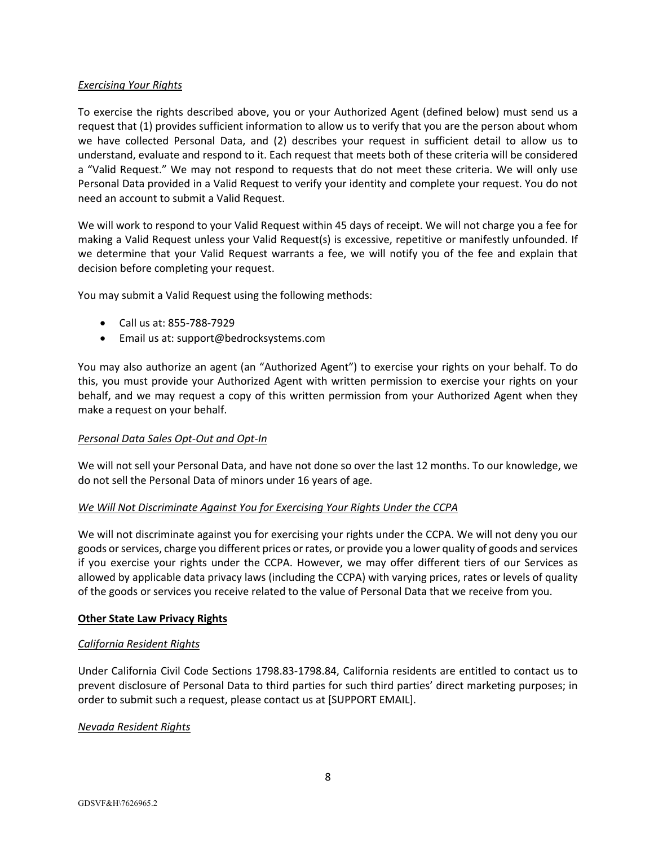# *Exercising Your Rights*

To exercise the rights described above, you or your Authorized Agent (defined below) must send us a request that (1) provides sufficient information to allow us to verify that you are the person about whom we have collected Personal Data, and (2) describes your request in sufficient detail to allow us to understand, evaluate and respond to it. Each request that meets both of these criteria will be considered a "Valid Request." We may not respond to requests that do not meet these criteria. We will only use Personal Data provided in a Valid Request to verify your identity and complete your request. You do not need an account to submit a Valid Request.

We will work to respond to your Valid Request within 45 days of receipt. We will not charge you a fee for making a Valid Request unless your Valid Request(s) is excessive, repetitive or manifestly unfounded. If we determine that your Valid Request warrants a fee, we will notify you of the fee and explain that decision before completing your request.

You may submit a Valid Request using the following methods:

- Call us at: 855-788-7929
- Email us at: support@bedrocksystems.com

You may also authorize an agent (an "Authorized Agent") to exercise your rights on your behalf. To do this, you must provide your Authorized Agent with written permission to exercise your rights on your behalf, and we may request a copy of this written permission from your Authorized Agent when they make a request on your behalf.

# *Personal Data Sales Opt-Out and Opt-In*

We will not sell your Personal Data, and have not done so over the last 12 months. To our knowledge, we do not sell the Personal Data of minors under 16 years of age.

## *We Will Not Discriminate Against You for Exercising Your Rights Under the CCPA*

We will not discriminate against you for exercising your rights under the CCPA. We will not deny you our goods or services, charge you different prices or rates, or provide you a lower quality of goods and services if you exercise your rights under the CCPA. However, we may offer different tiers of our Services as allowed by applicable data privacy laws (including the CCPA) with varying prices, rates or levels of quality of the goods or services you receive related to the value of Personal Data that we receive from you.

## **Other State Law Privacy Rights**

# *California Resident Rights*

Under California Civil Code Sections 1798.83-1798.84, California residents are entitled to contact us to prevent disclosure of Personal Data to third parties for such third parties' direct marketing purposes; in order to submit such a request, please contact us at [SUPPORT EMAIL].

## *Nevada Resident Rights*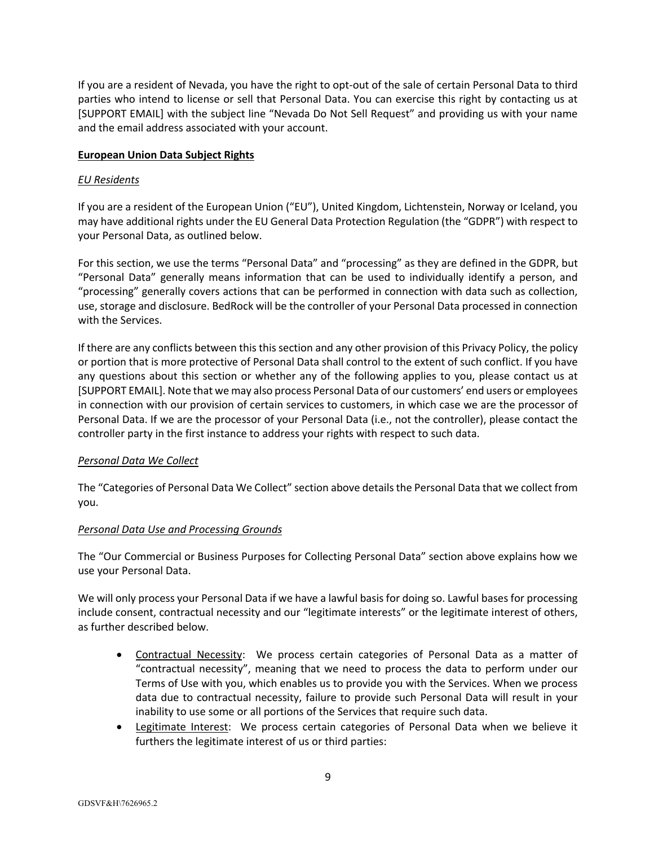If you are a resident of Nevada, you have the right to opt-out of the sale of certain Personal Data to third parties who intend to license or sell that Personal Data. You can exercise this right by contacting us at [SUPPORT EMAIL] with the subject line "Nevada Do Not Sell Request" and providing us with your name and the email address associated with your account.

## **European Union Data Subject Rights**

#### *EU Residents*

If you are a resident of the European Union ("EU"), United Kingdom, Lichtenstein, Norway or Iceland, you may have additional rights under the EU General Data Protection Regulation (the "GDPR") with respect to your Personal Data, as outlined below.

For this section, we use the terms "Personal Data" and "processing" as they are defined in the GDPR, but "Personal Data" generally means information that can be used to individually identify a person, and "processing" generally covers actions that can be performed in connection with data such as collection, use, storage and disclosure. BedRock will be the controller of your Personal Data processed in connection with the Services.

If there are any conflicts between this this section and any other provision of this Privacy Policy, the policy or portion that is more protective of Personal Data shall control to the extent of such conflict. If you have any questions about this section or whether any of the following applies to you, please contact us at [SUPPORT EMAIL]. Note that we may also process Personal Data of our customers' end users or employees in connection with our provision of certain services to customers, in which case we are the processor of Personal Data. If we are the processor of your Personal Data (i.e., not the controller), please contact the controller party in the first instance to address your rights with respect to such data.

## *Personal Data We Collect*

The "Categories of Personal Data We Collect" section above details the Personal Data that we collect from you.

## *Personal Data Use and Processing Grounds*

The "Our Commercial or Business Purposes for Collecting Personal Data" section above explains how we use your Personal Data.

We will only process your Personal Data if we have a lawful basis for doing so. Lawful bases for processing include consent, contractual necessity and our "legitimate interests" or the legitimate interest of others, as further described below.

- Contractual Necessity: We process certain categories of Personal Data as a matter of "contractual necessity", meaning that we need to process the data to perform under our Terms of Use with you, which enables us to provide you with the Services. When we process data due to contractual necessity, failure to provide such Personal Data will result in your inability to use some or all portions of the Services that require such data.
- Legitimate Interest: We process certain categories of Personal Data when we believe it furthers the legitimate interest of us or third parties: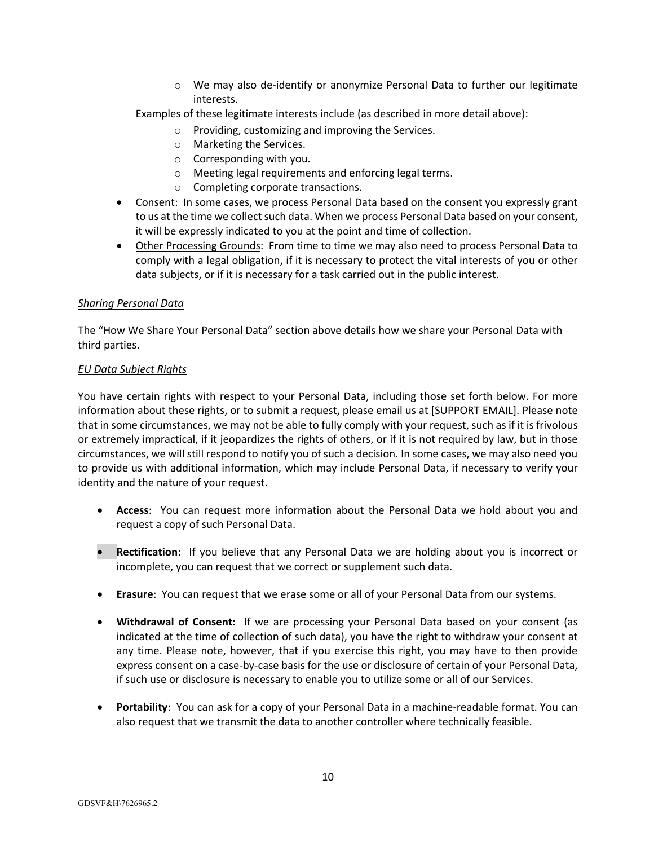o We may also de-identify or anonymize Personal Data to further our legitimate interests.

Examples of these legitimate interests include (as described in more detail above):

- o Providing, customizing and improving the Services.
- o Marketing the Services.
- o Corresponding with you.
- o Meeting legal requirements and enforcing legal terms.
- o Completing corporate transactions.
- Consent: In some cases, we process Personal Data based on the consent you expressly grant to us at the time we collect such data. When we process Personal Data based on your consent, it will be expressly indicated to you at the point and time of collection.
- Other Processing Grounds: From time to time we may also need to process Personal Data to comply with a legal obligation, if it is necessary to protect the vital interests of you or other data subjects, or if it is necessary for a task carried out in the public interest.

#### *Sharing Personal Data*

The "How We Share Your Personal Data" section above details how we share your Personal Data with third parties.

#### *EU Data Subject Rights*

You have certain rights with respect to your Personal Data, including those set forth below. For more information about these rights, or to submit a request, please email us at [SUPPORT EMAIL]. Please note that in some circumstances, we may not be able to fully comply with your request, such as if it is frivolous or extremely impractical, if it jeopardizes the rights of others, or if it is not required by law, but in those circumstances, we will still respond to notify you of such a decision. In some cases, we may also need you to provide us with additional information, which may include Personal Data, if necessary to verify your identity and the nature of your request.

- **Access**: You can request more information about the Personal Data we hold about you and request a copy of such Personal Data.
- **Rectification**: If you believe that any Personal Data we are holding about you is incorrect or incomplete, you can request that we correct or supplement such data.
- **Erasure**: You can request that we erase some or all of your Personal Data from our systems.
- **Withdrawal of Consent**: If we are processing your Personal Data based on your consent (as indicated at the time of collection of such data), you have the right to withdraw your consent at any time. Please note, however, that if you exercise this right, you may have to then provide express consent on a case-by-case basis for the use or disclosure of certain of your Personal Data, if such use or disclosure is necessary to enable you to utilize some or all of our Services.
- **Portability**: You can ask for a copy of your Personal Data in a machine-readable format. You can also request that we transmit the data to another controller where technically feasible.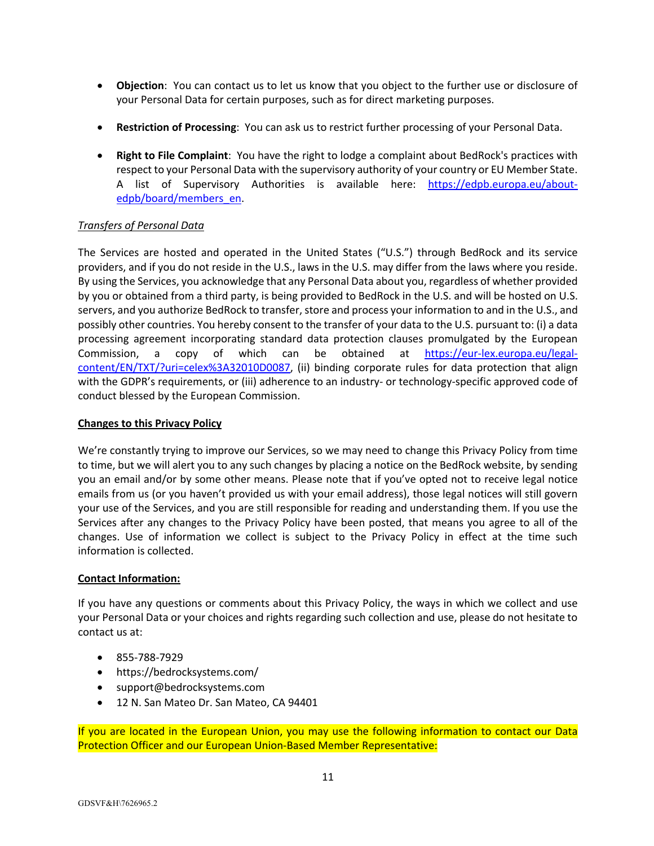- **Objection**: You can contact us to let us know that you object to the further use or disclosure of your Personal Data for certain purposes, such as for direct marketing purposes.
- **Restriction of Processing**: You can ask us to restrict further processing of your Personal Data.
- **Right to File Complaint**: You have the right to lodge a complaint about BedRock's practices with respect to your Personal Data with the supervisory authority of your country or EU Member State. A list of Supervisory Authorities is available here: https://edpb.europa.eu/aboutedpb/board/members\_en.

# *Transfers of Personal Data*

The Services are hosted and operated in the United States ("U.S.") through BedRock and its service providers, and if you do not reside in the U.S., laws in the U.S. may differ from the laws where you reside. By using the Services, you acknowledge that any Personal Data about you, regardless of whether provided by you or obtained from a third party, is being provided to BedRock in the U.S. and will be hosted on U.S. servers, and you authorize BedRock to transfer, store and process your information to and in the U.S., and possibly other countries. You hereby consent to the transfer of your data to the U.S. pursuant to: (i) a data processing agreement incorporating standard data protection clauses promulgated by the European Commission, a copy of which can be obtained at https://eur-lex.europa.eu/legalcontent/EN/TXT/?uri=celex%3A32010D0087, (ii) binding corporate rules for data protection that align with the GDPR's requirements, or (iii) adherence to an industry- or technology-specific approved code of conduct blessed by the European Commission.

# **Changes to this Privacy Policy**

We're constantly trying to improve our Services, so we may need to change this Privacy Policy from time to time, but we will alert you to any such changes by placing a notice on the BedRock website, by sending you an email and/or by some other means. Please note that if you've opted not to receive legal notice emails from us (or you haven't provided us with your email address), those legal notices will still govern your use of the Services, and you are still responsible for reading and understanding them. If you use the Services after any changes to the Privacy Policy have been posted, that means you agree to all of the changes. Use of information we collect is subject to the Privacy Policy in effect at the time such information is collected.

## **Contact Information:**

If you have any questions or comments about this Privacy Policy, the ways in which we collect and use your Personal Data or your choices and rights regarding such collection and use, please do not hesitate to contact us at:

- 855-788-7929
- https://bedrocksystems.com/
- support@bedrocksystems.com
- 12 N. San Mateo Dr. San Mateo, CA 94401

If you are located in the European Union, you may use the following information to contact our Data Protection Officer and our European Union-Based Member Representative: